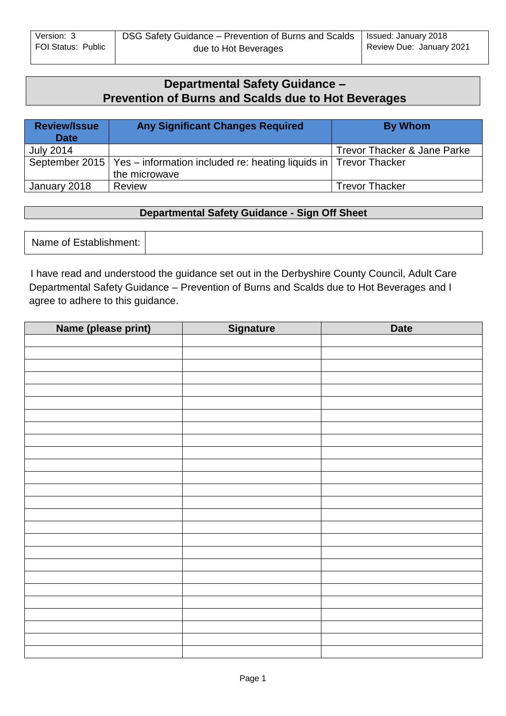# **Departmental Safety Guidance – Prevention of Burns and Scalds due to Hot Beverages**

| <b>Review/Issue</b><br><b>Date</b> | <b>Any Significant Changes Required</b>                                             | <b>By Whom</b>              |
|------------------------------------|-------------------------------------------------------------------------------------|-----------------------------|
| <b>July 2014</b>                   |                                                                                     | Trevor Thacker & Jane Parke |
|                                    | September 2015   Yes – information included re: heating liquids in   Trevor Thacker |                             |
|                                    | the microwave                                                                       |                             |
| January 2018                       | <b>Review</b>                                                                       | <b>Trevor Thacker</b>       |

#### **Departmental Safety Guidance - Sign Off Sheet**

Name of Establishment:

I have read and understood the guidance set out in the Derbyshire County Council, Adult Care Departmental Safety Guidance – Prevention of Burns and Scalds due to Hot Beverages and I agree to adhere to this guidance.

| Name (please print) | Signature | <b>Date</b> |
|---------------------|-----------|-------------|
|                     |           |             |
|                     |           |             |
|                     |           |             |
|                     |           |             |
|                     |           |             |
|                     |           |             |
|                     |           |             |
|                     |           |             |
|                     |           |             |
|                     |           |             |
|                     |           |             |
|                     |           |             |
|                     |           |             |
|                     |           |             |
|                     |           |             |
|                     |           |             |
|                     |           |             |
|                     |           |             |
|                     |           |             |
|                     |           |             |
|                     |           |             |
|                     |           |             |
|                     |           |             |
|                     |           |             |
|                     |           |             |
|                     |           |             |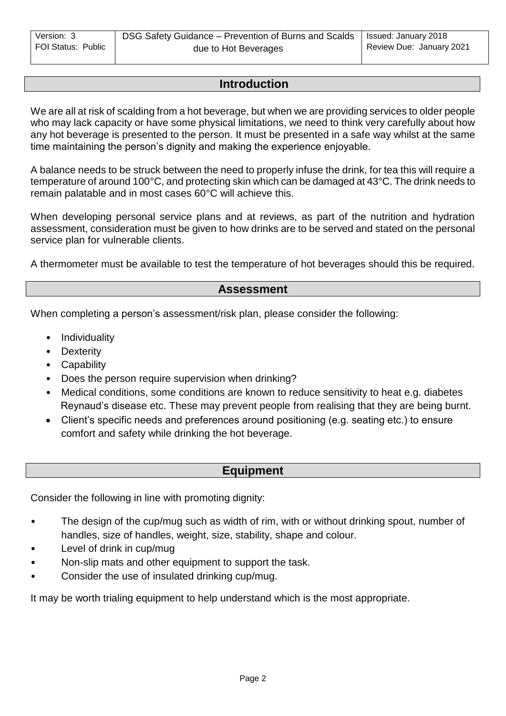## **Introduction**

We are all at risk of scalding from a hot beverage, but when we are providing services to older people who may lack capacity or have some physical limitations, we need to think very carefully about how any hot beverage is presented to the person. It must be presented in a safe way whilst at the same time maintaining the person's dignity and making the experience enjoyable.

A balance needs to be struck between the need to properly infuse the drink, for tea this will require a temperature of around 100°C, and protecting skin which can be damaged at 43°C. The drink needs to remain palatable and in most cases 60°C will achieve this.

When developing personal service plans and at reviews, as part of the nutrition and hydration assessment, consideration must be given to how drinks are to be served and stated on the personal service plan for vulnerable clients.

A thermometer must be available to test the temperature of hot beverages should this be required.

#### **Assessment**

When completing a person's assessment/risk plan, please consider the following:

- Individuality
- Dexterity
- Capability
- Does the person require supervision when drinking?
- Medical conditions, some conditions are known to reduce sensitivity to heat e.g. diabetes Reynaud's disease etc. These may prevent people from realising that they are being burnt.
- Client's specific needs and preferences around positioning (e.g. seating etc.) to ensure comfort and safety while drinking the hot beverage.

### **Equipment**

Consider the following in line with promoting dignity:

- The design of the cup/mug such as width of rim, with or without drinking spout, number of handles, size of handles, weight, size, stability, shape and colour.
- Level of drink in cup/mug
- Non-slip mats and other equipment to support the task.
- Consider the use of insulated drinking cup/mug.

It may be worth trialing equipment to help understand which is the most appropriate.